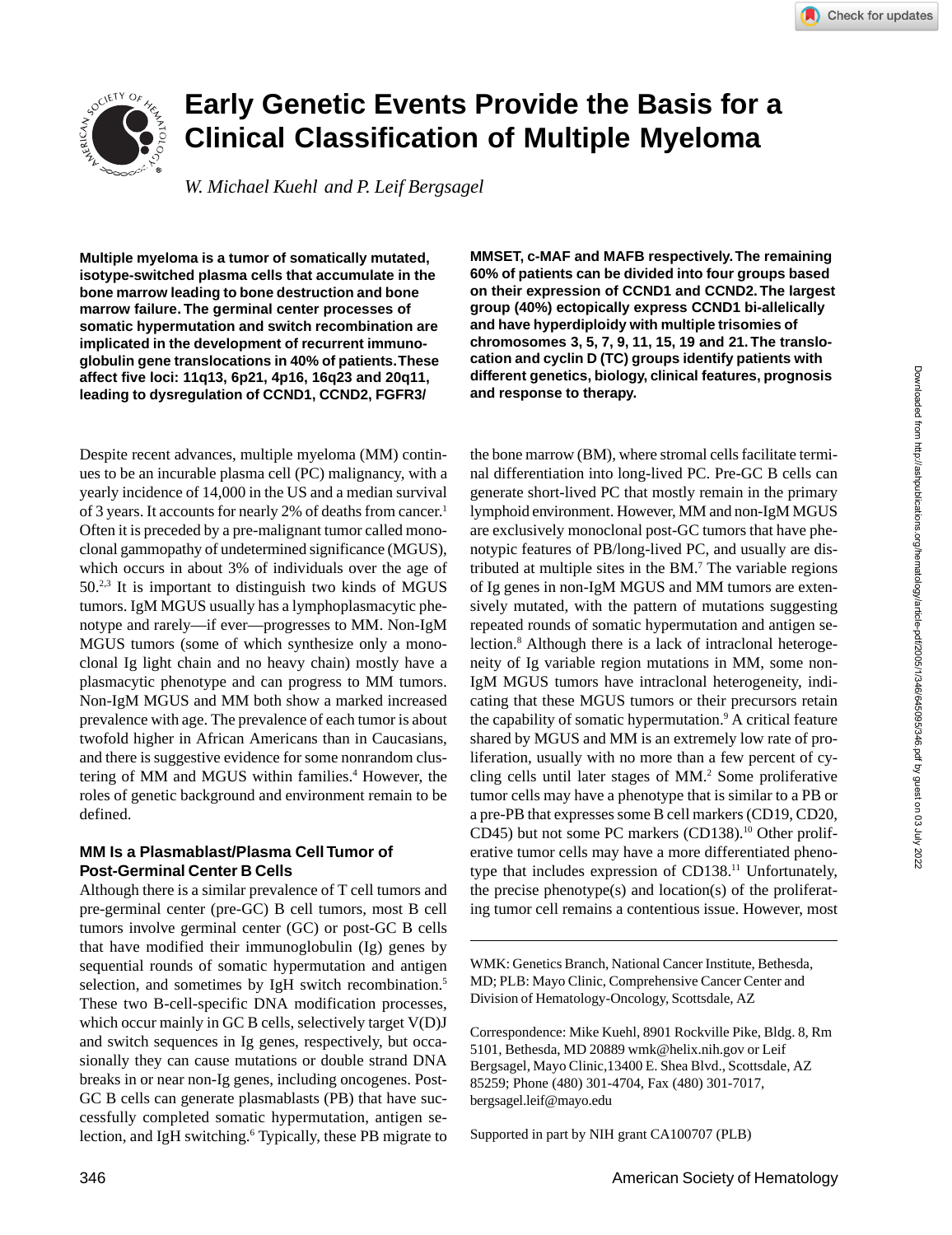

# **Early Genetic Events Provide the Basis for a Clinical Classification of Multiple Myeloma**

*W. Michael Kuehl and P. Leif Bergsagel*

**Multiple myeloma is a tumor of somatically mutated, isotype-switched plasma cells that accumulate in the bone marrow leading to bone destruction and bone marrow failure. The germinal center processes of somatic hypermutation and switch recombination are implicated in the development of recurrent immunoglobulin gene translocations in 40% of patients. These affect five loci: 11q13, 6p21, 4p16, 16q23 and 20q11, leading to dysregulation of CCND1, CCND2, FGFR3/**

Despite recent advances, multiple myeloma (MM) continues to be an incurable plasma cell (PC) malignancy, with a yearly incidence of 14,000 in the US and a median survival of 3 years. It accounts for nearly 2% of deaths from cancer.<sup>1</sup> Often it is preceded by a pre-malignant tumor called monoclonal gammopathy of undetermined significance (MGUS), which occurs in about 3% of individuals over the age of  $50^{2,3}$  It is important to distinguish two kinds of MGUS tumors. IgM MGUS usually has a lymphoplasmacytic phenotype and rarely—if ever—progresses to MM. Non-IgM MGUS tumors (some of which synthesize only a monoclonal Ig light chain and no heavy chain) mostly have a plasmacytic phenotype and can progress to MM tumors. Non-IgM MGUS and MM both show a marked increased prevalence with age. The prevalence of each tumor is about twofold higher in African Americans than in Caucasians, and there is suggestive evidence for some nonrandom clustering of MM and MGUS within families.<sup>4</sup> However, the roles of genetic background and environment remain to be defined.

# **MM Is a Plasmablast/Plasma Cell Tumor of Post-Germinal Center B Cells**

Although there is a similar prevalence of T cell tumors and pre-germinal center (pre-GC) B cell tumors, most B cell tumors involve germinal center (GC) or post-GC B cells that have modified their immunoglobulin (Ig) genes by sequential rounds of somatic hypermutation and antigen selection, and sometimes by IgH switch recombination.<sup>5</sup> These two B-cell-specific DNA modification processes, which occur mainly in GC B cells, selectively target  $V(D)J$ and switch sequences in Ig genes, respectively, but occasionally they can cause mutations or double strand DNA breaks in or near non-Ig genes, including oncogenes. Post-GC B cells can generate plasmablasts (PB) that have successfully completed somatic hypermutation, antigen selection, and IgH switching.<sup>6</sup> Typically, these PB migrate to

**MMSET, c-MAF and MAFB respectively. The remaining 60% of patients can be divided into four groups based on their expression of CCND1 and CCND2. The largest group (40%) ectopically express CCND1 bi-allelically and have hyperdiploidy with multiple trisomies of chromosomes 3, 5, 7, 9, 11, 15, 19 and 21. The translocation and cyclin D (TC) groups identify patients with different genetics, biology, clinical features, prognosis and response to therapy.**

the bone marrow (BM), where stromal cells facilitate terminal differentiation into long-lived PC. Pre-GC B cells can generate short-lived PC that mostly remain in the primary lymphoid environment. However, MM and non-IgM MGUS are exclusively monoclonal post-GC tumors that have phenotypic features of PB/long-lived PC, and usually are distributed at multiple sites in the BM.7 The variable regions of Ig genes in non-IgM MGUS and MM tumors are extensively mutated, with the pattern of mutations suggesting repeated rounds of somatic hypermutation and antigen selection.8 Although there is a lack of intraclonal heterogeneity of Ig variable region mutations in MM, some non-IgM MGUS tumors have intraclonal heterogeneity, indicating that these MGUS tumors or their precursors retain the capability of somatic hypermutation.<sup>9</sup> A critical feature shared by MGUS and MM is an extremely low rate of proliferation, usually with no more than a few percent of cycling cells until later stages of MM.2 Some proliferative tumor cells may have a phenotype that is similar to a PB or a pre-PB that expresses some B cell markers (CD19, CD20, CD45) but not some PC markers (CD138).<sup>10</sup> Other proliferative tumor cells may have a more differentiated phenotype that includes expression of CD138.11 Unfortunately, the precise phenotype(s) and location(s) of the proliferating tumor cell remains a contentious issue. However, most

WMK: Genetics Branch, National Cancer Institute, Bethesda, MD; PLB: Mayo Clinic, Comprehensive Cancer Center and Division of Hematology-Oncology, Scottsdale, AZ

Correspondence: Mike Kuehl, 8901 Rockville Pike, Bldg. 8, Rm 5101, Bethesda, MD 20889 wmk@helix.nih.gov or Leif Bergsagel, Mayo Clinic,13400 E. Shea Blvd., Scottsdale, AZ 85259; Phone (480) 301-4704, Fax (480) 301-7017, bergsagel.leif@mayo.edu

Supported in part by NIH grant CA100707 (PLB)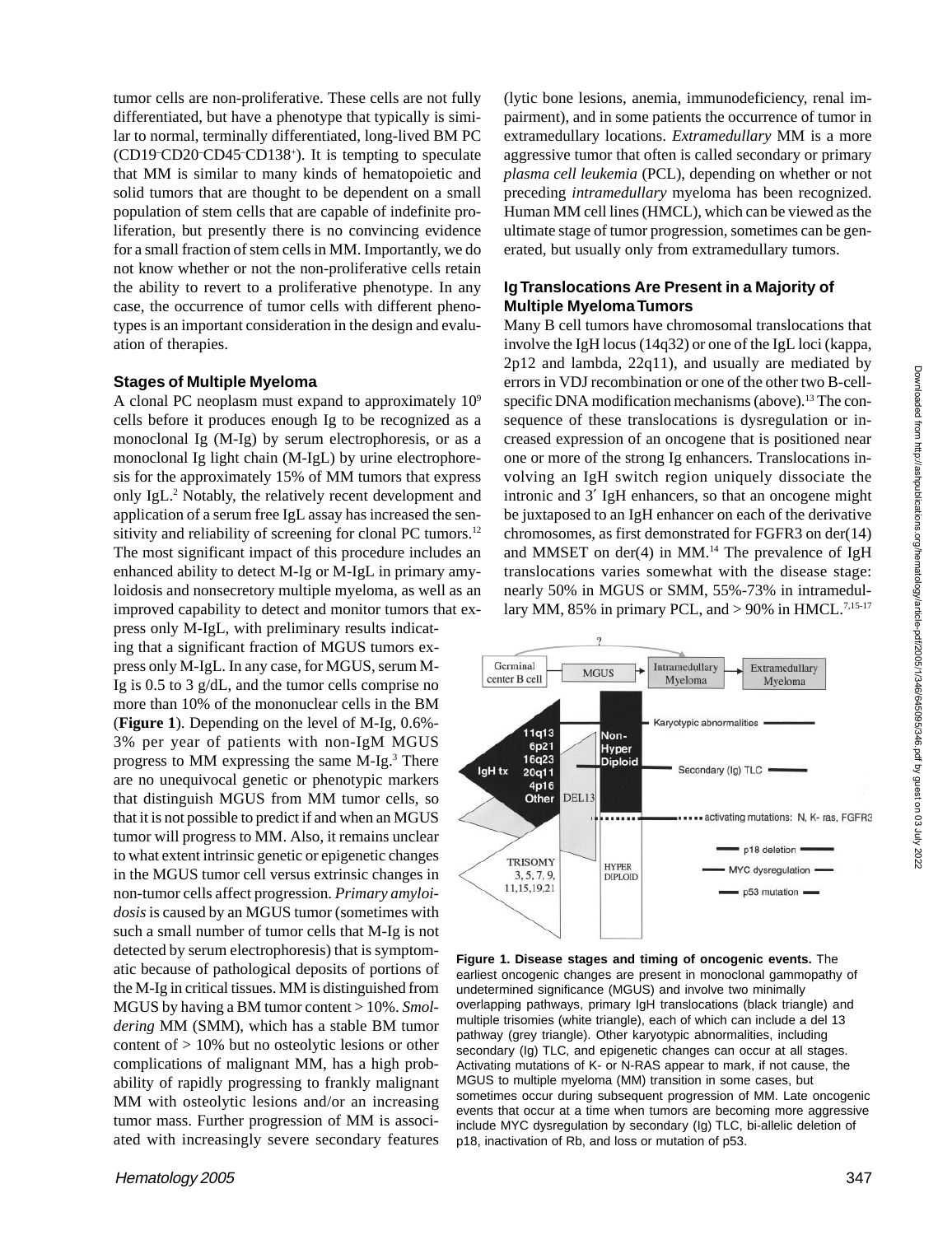tumor cells are non-proliferative. These cells are not fully differentiated, but have a phenotype that typically is similar to normal, terminally differentiated, long-lived BM PC (CD19– CD20– CD45– CD138+ ). It is tempting to speculate that MM is similar to many kinds of hematopoietic and solid tumors that are thought to be dependent on a small population of stem cells that are capable of indefinite proliferation, but presently there is no convincing evidence for a small fraction of stem cells in MM. Importantly, we do not know whether or not the non-proliferative cells retain the ability to revert to a proliferative phenotype. In any case, the occurrence of tumor cells with different phenotypes is an important consideration in the design and evaluation of therapies.

#### **Stages of Multiple Myeloma**

A clonal PC neoplasm must expand to approximately 109 cells before it produces enough Ig to be recognized as a monoclonal Ig (M-Ig) by serum electrophoresis, or as a monoclonal Ig light chain (M-IgL) by urine electrophoresis for the approximately 15% of MM tumors that express only IgL.2 Notably, the relatively recent development and application of a serum free IgL assay has increased the sensitivity and reliability of screening for clonal PC tumors.<sup>12</sup> The most significant impact of this procedure includes an enhanced ability to detect M-Ig or M-IgL in primary amyloidosis and nonsecretory multiple myeloma, as well as an improved capability to detect and monitor tumors that express only M-IgL, with preliminary results indicating that a significant fraction of MGUS tumors express only M-IgL. In any case, for MGUS, serum M-Ig is 0.5 to 3 g/dL, and the tumor cells comprise no more than 10% of the mononuclear cells in the BM (**Figure 1**). Depending on the level of M-Ig, 0.6%- 3% per year of patients with non-IgM MGUS progress to MM expressing the same M-Ig.<sup>3</sup> There are no unequivocal genetic or phenotypic markers that distinguish MGUS from MM tumor cells, so that it is not possible to predict if and when an MGUS tumor will progress to MM. Also, it remains unclear to what extent intrinsic genetic or epigenetic changes in the MGUS tumor cell versus extrinsic changes in non-tumor cells affect progression. *Primary amyloidosis* is caused by an MGUS tumor (sometimes with such a small number of tumor cells that M-Ig is not detected by serum electrophoresis) that is symptomatic because of pathological deposits of portions of the M-Ig in critical tissues. MM is distinguished from MGUS by having a BM tumor content > 10%. *Smoldering* MM (SMM), which has a stable BM tumor content of > 10% but no osteolytic lesions or other complications of malignant MM, has a high probability of rapidly progressing to frankly malignant MM with osteolytic lesions and/or an increasing tumor mass. Further progression of MM is associated with increasingly severe secondary features

(lytic bone lesions, anemia, immunodeficiency, renal impairment), and in some patients the occurrence of tumor in extramedullary locations. *Extramedullary* MM is a more aggressive tumor that often is called secondary or primary *plasma cell leukemia* (PCL), depending on whether or not preceding *intramedullary* myeloma has been recognized. Human MM cell lines (HMCL), which can be viewed as the ultimate stage of tumor progression, sometimes can be generated, but usually only from extramedullary tumors.

# **Ig Translocations Are Present in a Majority of Multiple Myeloma Tumors**

Many B cell tumors have chromosomal translocations that involve the IgH locus (14q32) or one of the IgL loci (kappa, 2p12 and lambda, 22q11), and usually are mediated by errors in VDJ recombination or one of the other two B-cellspecific DNA modification mechanisms (above).<sup>13</sup> The consequence of these translocations is dysregulation or increased expression of an oncogene that is positioned near one or more of the strong Ig enhancers. Translocations involving an IgH switch region uniquely dissociate the intronic and 3′ IgH enhancers, so that an oncogene might be juxtaposed to an IgH enhancer on each of the derivative chromosomes, as first demonstrated for FGFR3 on der(14) and MMSET on der(4) in MM.<sup>14</sup> The prevalence of IgH translocations varies somewhat with the disease stage: nearly 50% in MGUS or SMM, 55%-73% in intramedullary MM, 85% in primary PCL, and  $> 90\%$  in HMCL.<sup>7,15-17</sup>



**Figure 1. Disease stages and timing of oncogenic events.** The earliest oncogenic changes are present in monoclonal gammopathy of undetermined significance (MGUS) and involve two minimally overlapping pathways, primary IgH translocations (black triangle) and multiple trisomies (white triangle), each of which can include a del 13 pathway (grey triangle). Other karyotypic abnormalities, including secondary (Ig) TLC, and epigenetic changes can occur at all stages. Activating mutations of K- or N-RAS appear to mark, if not cause, the MGUS to multiple myeloma (MM) transition in some cases, but sometimes occur during subsequent progression of MM. Late oncogenic events that occur at a time when tumors are becoming more aggressive include MYC dysregulation by secondary (Ig) TLC, bi-allelic deletion of p18, inactivation of Rb, and loss or mutation of p53.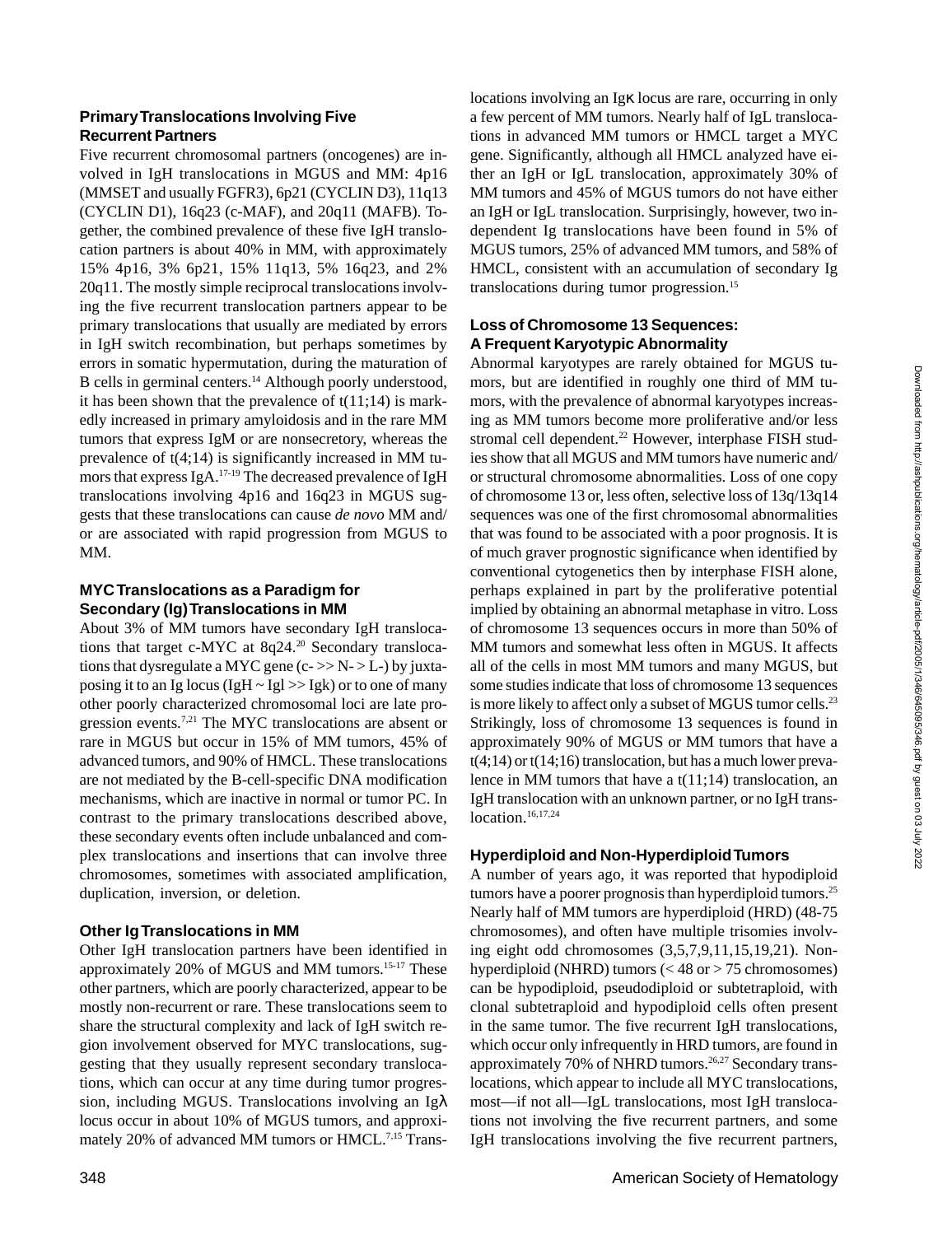#### **Primary Translocations Involving Five Recurrent Partners**

Five recurrent chromosomal partners (oncogenes) are involved in IgH translocations in MGUS and MM: 4p16 (MMSET and usually FGFR3), 6p21 (CYCLIN D3), 11q13 (CYCLIN D1), 16q23 (c-MAF), and 20q11 (MAFB). Together, the combined prevalence of these five IgH translocation partners is about 40% in MM, with approximately 15% 4p16, 3% 6p21, 15% 11q13, 5% 16q23, and 2% 20q11. The mostly simple reciprocal translocations involving the five recurrent translocation partners appear to be primary translocations that usually are mediated by errors in IgH switch recombination, but perhaps sometimes by errors in somatic hypermutation, during the maturation of B cells in germinal centers.<sup>14</sup> Although poorly understood, it has been shown that the prevalence of  $t(11;14)$  is markedly increased in primary amyloidosis and in the rare MM tumors that express IgM or are nonsecretory, whereas the prevalence of t(4;14) is significantly increased in MM tumors that express IgA.17-19 The decreased prevalence of IgH translocations involving 4p16 and 16q23 in MGUS suggests that these translocations can cause *de novo* MM and/ or are associated with rapid progression from MGUS to MM.

# **MYC Translocations as a Paradigm for Secondary (Ig) Translocations in MM**

About 3% of MM tumors have secondary IgH translocations that target c-MYC at 8q24.<sup>20</sup> Secondary translocations that dysregulate a MYC gene  $(c\rightarrow> N^- > L^-)$  by juxtaposing it to an Ig locus (IgH  $\sim$  Igl  $>>$  Igk) or to one of many other poorly characterized chromosomal loci are late progression events.7,21 The MYC translocations are absent or rare in MGUS but occur in 15% of MM tumors, 45% of advanced tumors, and 90% of HMCL. These translocations are not mediated by the B-cell-specific DNA modification mechanisms, which are inactive in normal or tumor PC. In contrast to the primary translocations described above, these secondary events often include unbalanced and complex translocations and insertions that can involve three chromosomes, sometimes with associated amplification, duplication, inversion, or deletion.

#### **Other Ig Translocations in MM**

Other IgH translocation partners have been identified in approximately 20% of MGUS and MM tumors.15-17 These other partners, which are poorly characterized, appear to be mostly non-recurrent or rare. These translocations seem to share the structural complexity and lack of IgH switch region involvement observed for MYC translocations, suggesting that they usually represent secondary translocations, which can occur at any time during tumor progression, including MGUS. Translocations involving an Igλ locus occur in about 10% of MGUS tumors, and approximately 20% of advanced MM tumors or HMCL.<sup>7,15</sup> Translocations involving an Igκ locus are rare, occurring in only a few percent of MM tumors. Nearly half of IgL translocations in advanced MM tumors or HMCL target a MYC gene. Significantly, although all HMCL analyzed have either an IgH or IgL translocation, approximately 30% of MM tumors and 45% of MGUS tumors do not have either an IgH or IgL translocation. Surprisingly, however, two independent Ig translocations have been found in 5% of MGUS tumors, 25% of advanced MM tumors, and 58% of HMCL, consistent with an accumulation of secondary Ig translocations during tumor progression.15

# **Loss of Chromosome 13 Sequences: A Frequent Karyotypic Abnormality**

Abnormal karyotypes are rarely obtained for MGUS tumors, but are identified in roughly one third of MM tumors, with the prevalence of abnormal karyotypes increasing as MM tumors become more proliferative and/or less stromal cell dependent.<sup>22</sup> However, interphase FISH studies show that all MGUS and MM tumors have numeric and/ or structural chromosome abnormalities. Loss of one copy of chromosome 13 or, less often, selective loss of 13q/13q14 sequences was one of the first chromosomal abnormalities that was found to be associated with a poor prognosis. It is of much graver prognostic significance when identified by conventional cytogenetics then by interphase FISH alone, perhaps explained in part by the proliferative potential implied by obtaining an abnormal metaphase in vitro. Loss of chromosome 13 sequences occurs in more than 50% of MM tumors and somewhat less often in MGUS. It affects all of the cells in most MM tumors and many MGUS, but some studies indicate that loss of chromosome 13 sequences is more likely to affect only a subset of MGUS tumor cells.<sup>23</sup> Strikingly, loss of chromosome 13 sequences is found in approximately 90% of MGUS or MM tumors that have a  $t(4;14)$  or  $t(14;16)$  translocation, but has a much lower prevalence in MM tumors that have a t(11;14) translocation, an IgH translocation with an unknown partner, or no IgH translocation.<sup>16,17,24</sup>

# **Hyperdiploid and Non-Hyperdiploid Tumors**

A number of years ago, it was reported that hypodiploid tumors have a poorer prognosis than hyperdiploid tumors.<sup>25</sup> Nearly half of MM tumors are hyperdiploid (HRD) (48-75 chromosomes), and often have multiple trisomies involving eight odd chromosomes (3,5,7,9,11,15,19,21). Nonhyperdiploid (NHRD) tumors (< 48 or > 75 chromosomes) can be hypodiploid, pseudodiploid or subtetraploid, with clonal subtetraploid and hypodiploid cells often present in the same tumor. The five recurrent IgH translocations, which occur only infrequently in HRD tumors, are found in approximately 70% of NHRD tumors.<sup>26,27</sup> Secondary translocations, which appear to include all MYC translocations, most—if not all—IgL translocations, most IgH translocations not involving the five recurrent partners, and some IgH translocations involving the five recurrent partners,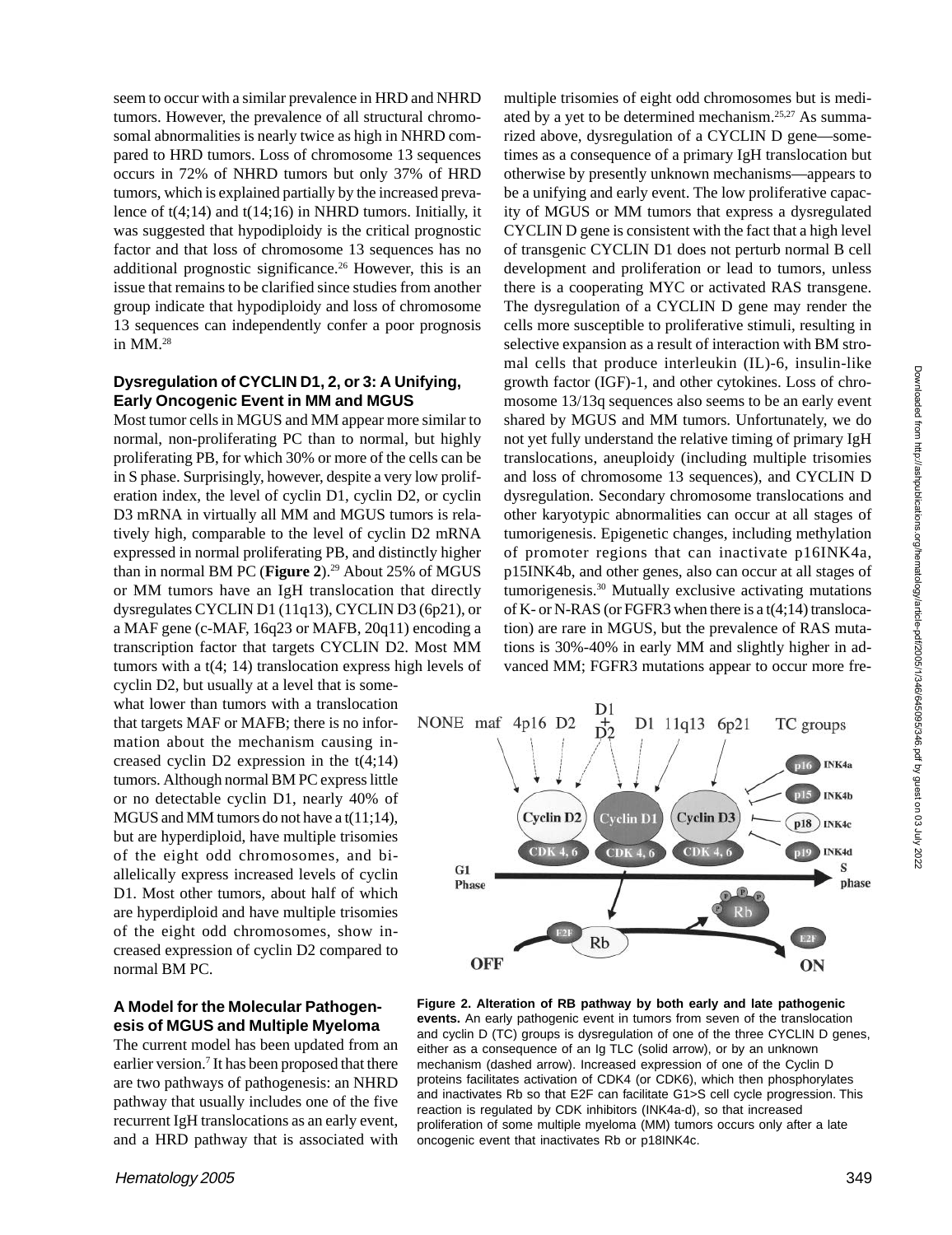seem to occur with a similar prevalence in HRD and NHRD tumors. However, the prevalence of all structural chromosomal abnormalities is nearly twice as high in NHRD compared to HRD tumors. Loss of chromosome 13 sequences occurs in 72% of NHRD tumors but only 37% of HRD tumors, which is explained partially by the increased prevalence of t(4;14) and t(14;16) in NHRD tumors. Initially, it was suggested that hypodiploidy is the critical prognostic factor and that loss of chromosome 13 sequences has no additional prognostic significance.<sup>26</sup> However, this is an issue that remains to be clarified since studies from another group indicate that hypodiploidy and loss of chromosome 13 sequences can independently confer a poor prognosis in MM.28

## **Dysregulation of CYCLIN D1, 2, or 3: A Unifying, Early Oncogenic Event in MM and MGUS**

Most tumor cells in MGUS and MM appear more similar to normal, non-proliferating PC than to normal, but highly proliferating PB, for which 30% or more of the cells can be in S phase. Surprisingly, however, despite a very low proliferation index, the level of cyclin D1, cyclin D2, or cyclin D3 mRNA in virtually all MM and MGUS tumors is relatively high, comparable to the level of cyclin D2 mRNA expressed in normal proliferating PB, and distinctly higher than in normal BM PC (**Figure 2**).29 About 25% of MGUS or MM tumors have an IgH translocation that directly dysregulates CYCLIN D1 (11q13), CYCLIN D3 (6p21), or a MAF gene (c-MAF, 16q23 or MAFB, 20q11) encoding a transcription factor that targets CYCLIN D2. Most MM tumors with a t(4; 14) translocation express high levels of

cyclin D2, but usually at a level that is somewhat lower than tumors with a translocation that targets MAF or MAFB; there is no information about the mechanism causing increased cyclin  $D2$  expression in the  $t(4;14)$ tumors. Although normal BM PC express little or no detectable cyclin D1, nearly 40% of MGUS and MM tumors do not have a t(11;14), but are hyperdiploid, have multiple trisomies of the eight odd chromosomes, and biallelically express increased levels of cyclin D1. Most other tumors, about half of which are hyperdiploid and have multiple trisomies of the eight odd chromosomes, show increased expression of cyclin D2 compared to normal BM PC.

# **A Model for the Molecular Pathogenesis of MGUS and Multiple Myeloma**

The current model has been updated from an earlier version.<sup>7</sup> It has been proposed that there are two pathways of pathogenesis: an NHRD pathway that usually includes one of the five recurrent IgH translocations as an early event, and a HRD pathway that is associated with multiple trisomies of eight odd chromosomes but is mediated by a yet to be determined mechanism.<sup>25,27</sup> As summarized above, dysregulation of a CYCLIN D gene—sometimes as a consequence of a primary IgH translocation but otherwise by presently unknown mechanisms—appears to be a unifying and early event. The low proliferative capacity of MGUS or MM tumors that express a dysregulated CYCLIN D gene is consistent with the fact that a high level of transgenic CYCLIN D1 does not perturb normal B cell development and proliferation or lead to tumors, unless there is a cooperating MYC or activated RAS transgene. The dysregulation of a CYCLIN D gene may render the cells more susceptible to proliferative stimuli, resulting in selective expansion as a result of interaction with BM stromal cells that produce interleukin (IL)-6, insulin-like growth factor (IGF)-1, and other cytokines. Loss of chromosome 13/13q sequences also seems to be an early event shared by MGUS and MM tumors. Unfortunately, we do not yet fully understand the relative timing of primary IgH translocations, aneuploidy (including multiple trisomies and loss of chromosome 13 sequences), and CYCLIN D dysregulation. Secondary chromosome translocations and other karyotypic abnormalities can occur at all stages of tumorigenesis. Epigenetic changes, including methylation of promoter regions that can inactivate p16INK4a, p15INK4b, and other genes, also can occur at all stages of tumorigenesis.30 Mutually exclusive activating mutations of K- or N-RAS (or FGFR3 when there is a t(4;14) translocation) are rare in MGUS, but the prevalence of RAS mutations is 30%-40% in early MM and slightly higher in advanced MM; FGFR3 mutations appear to occur more fre-



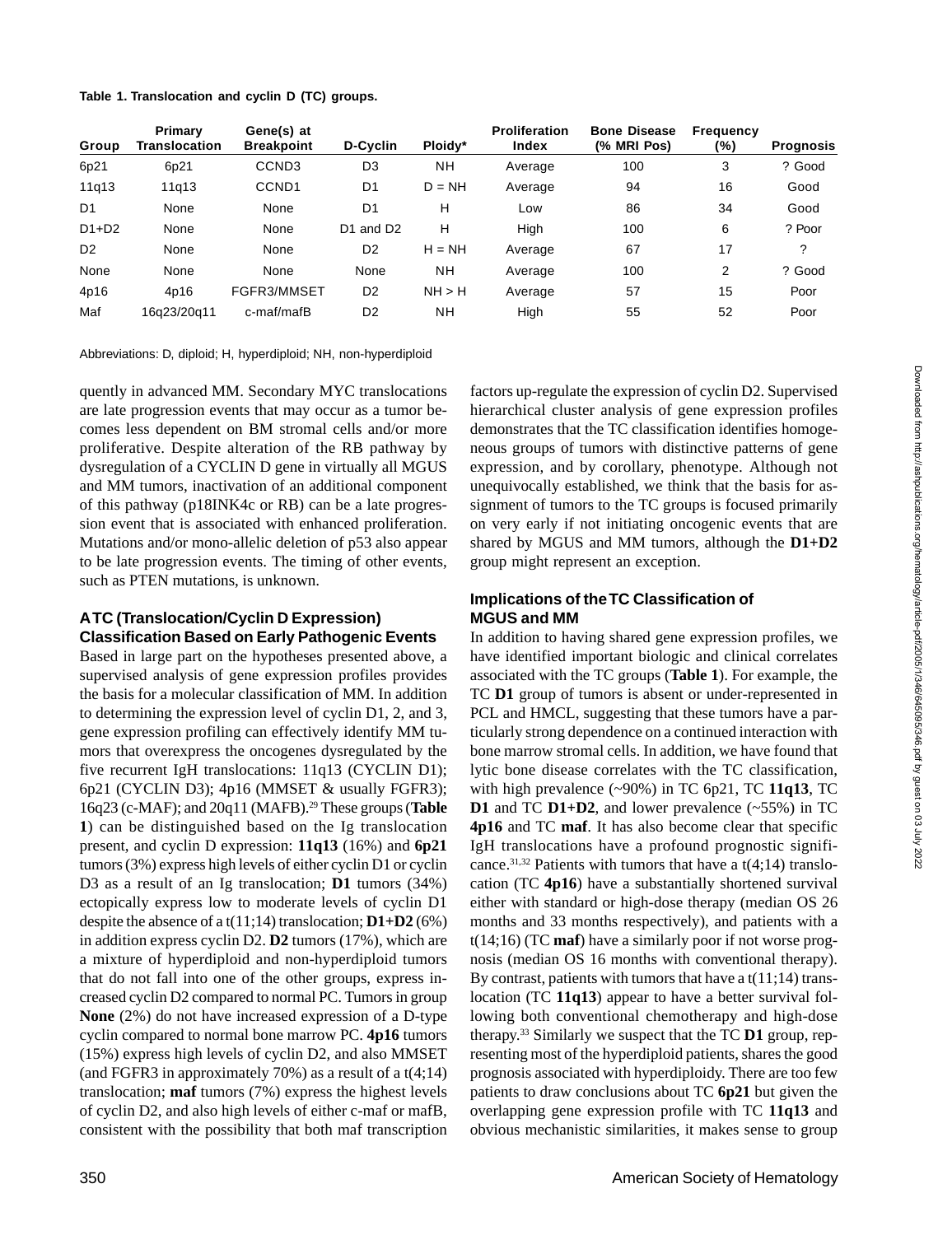#### **Table 1. Translocation and cyclin D (TC) groups.**

| Group          | Primary<br><b>Translocation</b> | Gene(s) at<br><b>Breakpoint</b> | D-Cyclin                          | Ploidy*   | <b>Proliferation</b><br>Index | <b>Bone Disease</b><br>(% MRI Pos) | <b>Frequency</b><br>(%) | <b>Prognosis</b> |
|----------------|---------------------------------|---------------------------------|-----------------------------------|-----------|-------------------------------|------------------------------------|-------------------------|------------------|
| 6p21           | 6p21                            | CCND <sub>3</sub>               | D <sub>3</sub>                    | <b>NH</b> | Average                       | 100                                | 3                       | ? Good           |
| 11q13          | 11q13                           | CCND <sub>1</sub>               | D <sub>1</sub>                    | $D = NH$  | Average                       | 94                                 | 16                      | Good             |
| D <sub>1</sub> | None                            | None                            | D <sub>1</sub>                    | н         | Low                           | 86                                 | 34                      | Good             |
| $D1+D2$        | None                            | None                            | D <sub>1</sub> and D <sub>2</sub> | н         | High                          | 100                                | 6                       | ? Poor           |
| D <sub>2</sub> | None                            | None                            | D <sub>2</sub>                    | $H = NH$  | Average                       | 67                                 | 17                      | ?                |
| None           | None                            | None                            | None                              | <b>NH</b> | Average                       | 100                                | 2                       | ? Good           |
| 4p16           | 4p16                            | FGFR3/MMSET                     | D <sub>2</sub>                    | NH > H    | Average                       | 57                                 | 15                      | Poor             |
| Maf            | 16a23/20a11                     | c-maf/mafB                      | D <sub>2</sub>                    | <b>NH</b> | High                          | 55                                 | 52                      | Poor             |

Abbreviations: D, diploid; H, hyperdiploid; NH, non-hyperdiploid

quently in advanced MM. Secondary MYC translocations are late progression events that may occur as a tumor becomes less dependent on BM stromal cells and/or more proliferative. Despite alteration of the RB pathway by dysregulation of a CYCLIN D gene in virtually all MGUS and MM tumors, inactivation of an additional component of this pathway (p18INK4c or RB) can be a late progression event that is associated with enhanced proliferation. Mutations and/or mono-allelic deletion of p53 also appear to be late progression events. The timing of other events, such as PTEN mutations, is unknown.

## **A TC (Translocation/Cyclin D Expression) Classification Based on Early Pathogenic Events**

Based in large part on the hypotheses presented above, a supervised analysis of gene expression profiles provides the basis for a molecular classification of MM. In addition to determining the expression level of cyclin D1, 2, and 3, gene expression profiling can effectively identify MM tumors that overexpress the oncogenes dysregulated by the five recurrent IgH translocations: 11q13 (CYCLIN D1); 6p21 (CYCLIN D3); 4p16 (MMSET & usually FGFR3); 16q23 (c-MAF); and 20q11 (MAFB).29 These groups (**Table 1**) can be distinguished based on the Ig translocation present, and cyclin D expression: **11q13** (16%) and **6p21** tumors (3%) express high levels of either cyclin D1 or cyclin D3 as a result of an Ig translocation; **D1** tumors (34%) ectopically express low to moderate levels of cyclin D1 despite the absence of a t(11;14) translocation; **D1+D2** (6%) in addition express cyclin D2. **D2** tumors (17%), which are a mixture of hyperdiploid and non-hyperdiploid tumors that do not fall into one of the other groups, express increased cyclin D2 compared to normal PC. Tumors in group **None** (2%) do not have increased expression of a D-type cyclin compared to normal bone marrow PC. **4p16** tumors (15%) express high levels of cyclin D2, and also MMSET (and FGFR3 in approximately  $70\%$ ) as a result of a t(4;14) translocation; **maf** tumors (7%) express the highest levels of cyclin D2, and also high levels of either c-maf or mafB, consistent with the possibility that both maf transcription

factors up-regulate the expression of cyclin D2. Supervised hierarchical cluster analysis of gene expression profiles demonstrates that the TC classification identifies homogeneous groups of tumors with distinctive patterns of gene expression, and by corollary, phenotype. Although not unequivocally established, we think that the basis for assignment of tumors to the TC groups is focused primarily on very early if not initiating oncogenic events that are shared by MGUS and MM tumors, although the **D1+D2** group might represent an exception.

# **Implications of the TC Classification of MGUS and MM**

In addition to having shared gene expression profiles, we have identified important biologic and clinical correlates associated with the TC groups (**Table 1**). For example, the TC **D1** group of tumors is absent or under-represented in PCL and HMCL, suggesting that these tumors have a particularly strong dependence on a continued interaction with bone marrow stromal cells. In addition, we have found that lytic bone disease correlates with the TC classification, with high prevalence (~90%) in TC 6p21, TC **11q13**, TC **D1** and TC **D1+D2**, and lower prevalence (~55%) in TC **4p16** and TC **maf**. It has also become clear that specific IgH translocations have a profound prognostic significance.<sup>31,32</sup> Patients with tumors that have a  $t(4;14)$  translocation (TC **4p16**) have a substantially shortened survival either with standard or high-dose therapy (median OS 26 months and 33 months respectively), and patients with a t(14;16) (TC **maf**) have a similarly poor if not worse prognosis (median OS 16 months with conventional therapy). By contrast, patients with tumors that have a  $t(11;14)$  translocation (TC **11q13**) appear to have a better survival following both conventional chemotherapy and high-dose therapy.33 Similarly we suspect that the TC **D1** group, representing most of the hyperdiploid patients, shares the good prognosis associated with hyperdiploidy. There are too few patients to draw conclusions about TC **6p21** but given the overlapping gene expression profile with TC **11q13** and obvious mechanistic similarities, it makes sense to group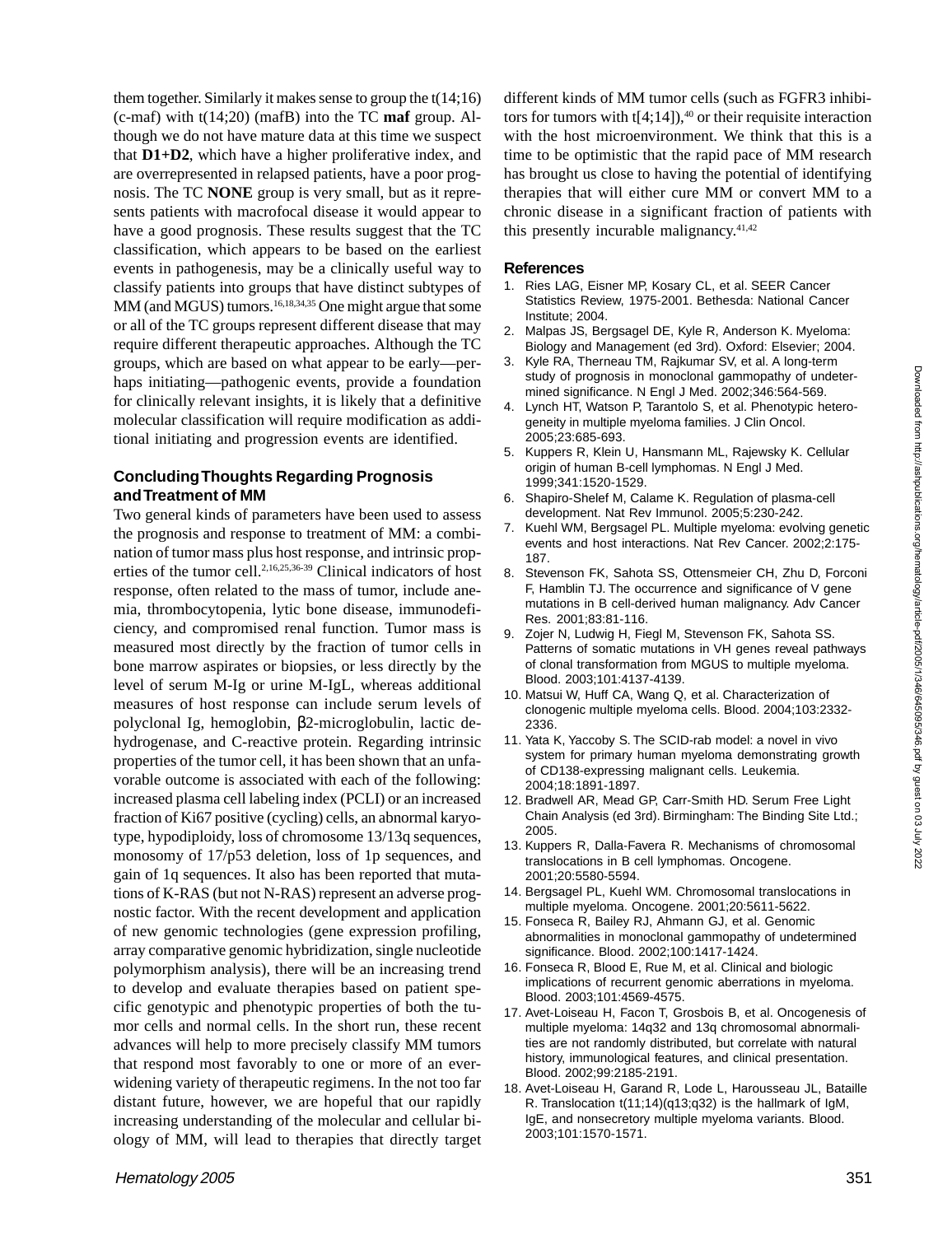them together. Similarly it makes sense to group the t(14;16) (c-maf) with t(14;20) (mafB) into the TC **maf** group. Although we do not have mature data at this time we suspect that **D1+D2**, which have a higher proliferative index, and are overrepresented in relapsed patients, have a poor prognosis. The TC **NONE** group is very small, but as it represents patients with macrofocal disease it would appear to have a good prognosis. These results suggest that the TC classification, which appears to be based on the earliest events in pathogenesis, may be a clinically useful way to classify patients into groups that have distinct subtypes of MM (and MGUS) tumors.<sup>16,18,34,35</sup> One might argue that some or all of the TC groups represent different disease that may require different therapeutic approaches. Although the TC groups, which are based on what appear to be early—perhaps initiating—pathogenic events, provide a foundation for clinically relevant insights, it is likely that a definitive molecular classification will require modification as additional initiating and progression events are identified.

# **Concluding Thoughts Regarding Prognosis and Treatment of MM**

Two general kinds of parameters have been used to assess the prognosis and response to treatment of MM: a combination of tumor mass plus host response, and intrinsic properties of the tumor cell.<sup>2,16,25,36-39</sup> Clinical indicators of host response, often related to the mass of tumor, include anemia, thrombocytopenia, lytic bone disease, immunodeficiency, and compromised renal function. Tumor mass is measured most directly by the fraction of tumor cells in bone marrow aspirates or biopsies, or less directly by the level of serum M-Ig or urine M-IgL, whereas additional measures of host response can include serum levels of polyclonal Ig, hemoglobin, β2-microglobulin, lactic dehydrogenase, and C-reactive protein. Regarding intrinsic properties of the tumor cell, it has been shown that an unfavorable outcome is associated with each of the following: increased plasma cell labeling index (PCLI) or an increased fraction of Ki67 positive (cycling) cells, an abnormal karyotype, hypodiploidy, loss of chromosome 13/13q sequences, monosomy of 17/p53 deletion, loss of 1p sequences, and gain of 1q sequences. It also has been reported that mutations of K-RAS (but not N-RAS) represent an adverse prognostic factor. With the recent development and application of new genomic technologies (gene expression profiling, array comparative genomic hybridization, single nucleotide polymorphism analysis), there will be an increasing trend to develop and evaluate therapies based on patient specific genotypic and phenotypic properties of both the tumor cells and normal cells. In the short run, these recent advances will help to more precisely classify MM tumors that respond most favorably to one or more of an everwidening variety of therapeutic regimens. In the not too far distant future, however, we are hopeful that our rapidly increasing understanding of the molecular and cellular biology of MM, will lead to therapies that directly target

different kinds of MM tumor cells (such as FGFR3 inhibitors for tumors with  $t[4;14]$ ,<sup>40</sup> or their requisite interaction with the host microenvironment. We think that this is a time to be optimistic that the rapid pace of MM research has brought us close to having the potential of identifying therapies that will either cure MM or convert MM to a chronic disease in a significant fraction of patients with this presently incurable malignancy. $41,42$ 

#### **References**

- 1. Ries LAG, Eisner MP, Kosary CL, et al. SEER Cancer Statistics Review, 1975-2001. Bethesda: National Cancer Institute; 2004.
- 2. Malpas JS, Bergsagel DE, Kyle R, Anderson K. Myeloma: Biology and Management (ed 3rd). Oxford: Elsevier; 2004.
- 3. Kyle RA, Therneau TM, Rajkumar SV, et al. A long-term study of prognosis in monoclonal gammopathy of undetermined significance. N Engl J Med. 2002;346:564-569.
- 4. Lynch HT, Watson P, Tarantolo S, et al. Phenotypic heterogeneity in multiple myeloma families. J Clin Oncol. 2005;23:685-693.
- 5. Kuppers R, Klein U, Hansmann ML, Rajewsky K. Cellular origin of human B-cell lymphomas. N Engl J Med. 1999;341:1520-1529.
- Shapiro-Shelef M, Calame K. Regulation of plasma-cell development. Nat Rev Immunol. 2005;5:230-242.
- 7. Kuehl WM, Bergsagel PL. Multiple myeloma: evolving genetic events and host interactions. Nat Rev Cancer. 2002;2:175- 187.
- 8. Stevenson FK, Sahota SS, Ottensmeier CH, Zhu D, Forconi F, Hamblin TJ. The occurrence and significance of V gene mutations in B cell-derived human malignancy. Adv Cancer Res. 2001;83:81-116.
- 9. Zojer N, Ludwig H, Fiegl M, Stevenson FK, Sahota SS. Patterns of somatic mutations in VH genes reveal pathways of clonal transformation from MGUS to multiple myeloma. Blood. 2003;101:4137-4139.
- 10. Matsui W, Huff CA, Wang Q, et al. Characterization of clonogenic multiple myeloma cells. Blood. 2004;103:2332- 2336.
- 11. Yata K, Yaccoby S. The SCID-rab model: a novel in vivo system for primary human myeloma demonstrating growth of CD138-expressing malignant cells. Leukemia. 2004;18:1891-1897.
- 12. Bradwell AR, Mead GP, Carr-Smith HD. Serum Free Light Chain Analysis (ed 3rd). Birmingham: The Binding Site Ltd.; 2005.
- 13. Kuppers R, Dalla-Favera R. Mechanisms of chromosomal translocations in B cell lymphomas. Oncogene. 2001;20:5580-5594.
- 14. Bergsagel PL, Kuehl WM. Chromosomal translocations in multiple myeloma. Oncogene. 2001;20:5611-5622.
- 15. Fonseca R, Bailey RJ, Ahmann GJ, et al. Genomic abnormalities in monoclonal gammopathy of undetermined significance. Blood. 2002;100:1417-1424.
- 16. Fonseca R, Blood E, Rue M, et al. Clinical and biologic implications of recurrent genomic aberrations in myeloma. Blood. 2003;101:4569-4575.
- 17. Avet-Loiseau H, Facon T, Grosbois B, et al. Oncogenesis of multiple myeloma: 14q32 and 13q chromosomal abnormalities are not randomly distributed, but correlate with natural history, immunological features, and clinical presentation. Blood. 2002;99:2185-2191.
- 18. Avet-Loiseau H, Garand R, Lode L, Harousseau JL, Bataille R. Translocation t(11;14)(q13;q32) is the hallmark of IgM, IgE, and nonsecretory multiple myeloma variants. Blood. 2003;101:1570-1571.